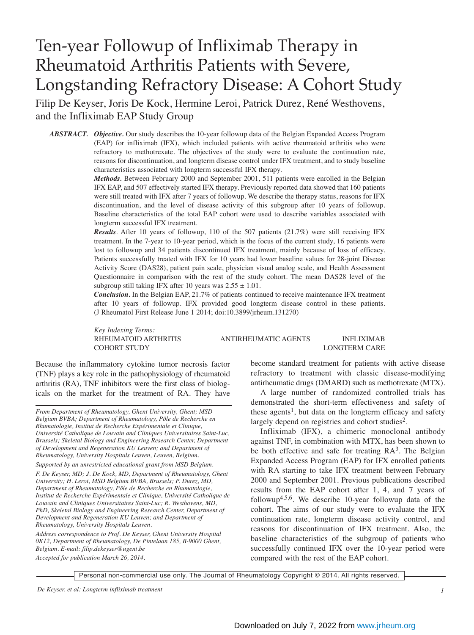# Ten-year Followup of Infliximab Therapy in Rheumatoid Arthritis Patients with Severe, Longstanding Refractory Disease: A Cohort Study

Filip De Keyser, Joris De Kock, Hermine Leroi, Patrick Durez, René Westhovens, and the Infliximab EAP Study Group

*ABSTRACT. Objective.* Our study describes the 10-year followup data of the Belgian Expanded Access Program (EAP) for infliximab (IFX), which included patients with active rheumatoid arthritis who were refractory to methotrexate. The objectives of the study were to evaluate the continuation rate, reasons for discontinuation, and longterm disease control under IFX treatment, and to study baseline characteristics associated with longterm successful IFX therapy.

> *Methods.* Between February 2000 and September 2001, 511 patients were enrolled in the Belgian IFX EAP, and 507 effectively started IFX therapy. Previously reported data showed that 160 patients were still treated with IFX after 7 years of followup. We describe the therapy status, reasons for IFX discontinuation, and the level of disease activity of this subgroup after 10 years of followup. Baseline characteristics of the total EAP cohort were used to describe variables associated with longterm successful IFX treatment.

> *Results*. After 10 years of followup, 110 of the 507 patients (21.7%) were still receiving IFX treatment. In the 7-year to 10-year period, which is the focus of the current study, 16 patients were lost to followup and 34 patients discontinued IFX treatment, mainly because of loss of efficacy. Patients successfully treated with IFX for 10 years had lower baseline values for 28-joint Disease Activity Score (DAS28), patient pain scale, physician visual analog scale, and Health Assessment Questionnaire in comparison with the rest of the study cohort. The mean DAS28 level of the subgroup still taking IFX after 10 years was  $2.55 \pm 1.01$ .

> *Conclusion.* In the Belgian EAP, 21.7% of patients continued to receive maintenance IFX treatment after 10 years of followup. IFX provided good longterm disease control in these patients. (J Rheumatol First Release June 1 2014; doi:10.3899/jrheum.131270)

*Key Indexing Terms:*

RHEUMATOID ARTHRITIS ANTIRHEUMATIC AGENTS INFLIXIMAB COHORT STUDY LONGTERM CARE

Because the inflammatory cytokine tumor necrosis factor (TNF) plays a key role in the pathophysiology of rheumatoid arthritis (RA), TNF inhibitors were the first class of biologicals on the market for the treatment of RA. They have

*From Department of Rheumatology, Ghent University, Ghent; MSD Belgium BVBA; Department of Rheumatology, Pôle de Recherche en Rhumatologie, Institut de Recherche Expérimentale et Clinique, Université Catholique de Louvain and Cliniques Universitaires Saint-Luc, Brussels; Skeletal Biology and Engineering Research Center, Department of Development and Regeneration KU Leuven; and Department of Rheumatology, University Hospitals Leuven, Leuven, Belgium.* 

*Supported by an unrestricted educational grant from MSD Belgium. F. De Keyser, MD; J. De Kock, MD, Department of Rheumatology, Ghent University; H. Leroi, MSD Belgium BVBA, Brussels; P. Durez, MD, Department of Rheumatology, Pôle de Recherche en Rhumatologie, Institut de Recherche Expérimentale et Clinique, Université Catholique de Louvain and Cliniques Universitaires Saint-Luc; R. Westhovens, MD, PhD, Skeletal Biology and Engineering Research Center, Department of Development and Regeneration KU Leuven; and Department of Rheumatology, University Hospitals Leuven.* 

*Address correspondence to Prof. De Keyser, Ghent University Hospital 0K12, Department of Rheumatology, De Pintelaan 185, B-9000 Ghent, Belgium. E-mail: filip.dekeyser@ugent.be Accepted for publication March 26, 2014.*

become standard treatment for patients with active disease refractory to treatment with classic disease-modifying antirheumatic drugs (DMARD) such as methotrexate (MTX).

A large number of randomized controlled trials has demonstrated the short-term effectiveness and safety of these agents<sup>1</sup>, but data on the longterm efficacy and safety largely depend on registries and cohort studies<sup>2</sup>.

Infliximab (IFX), a chimeric monoclonal antibody against TNF, in combination with MTX, has been shown to be both effective and safe for treating  $RA<sup>3</sup>$ . The Belgian Expanded Access Program (EAP) for IFX enrolled patients with RA starting to take IFX treatment between February 2000 and September 2001. Previous publications described results from the EAP cohort after 1, 4, and 7 years of followup<sup>4,5,6</sup>. We describe 10-year followup data of the cohort. The aims of our study were to evaluate the IFX continuation rate, longterm disease activity control, and reasons for discontinuation of IFX treatment. Also, the baseline characteristics of the subgroup of patients who successfully continued IFX over the 10-year period were compared with the rest of the EAP cohort.

Personal non-commercial use only. The Journal of Rheumatology Copyright © 2014. All rights reserved.

*De Keyser, et al: Longterm infliximab treatment 1*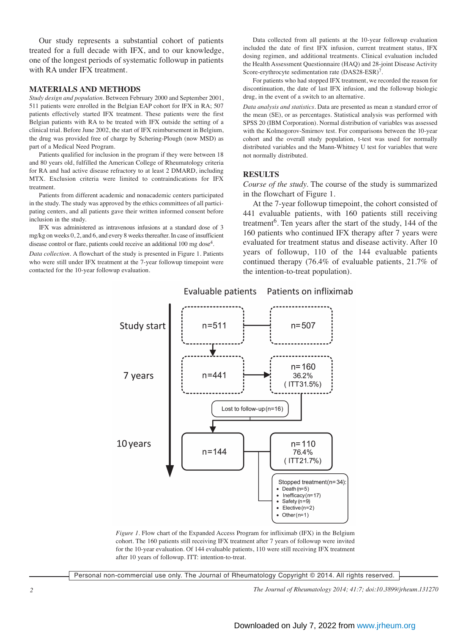Our study represents a substantial cohort of patients treated for a full decade with IFX, and to our knowledge, one of the longest periods of systematic followup in patients with RA under IFX treatment.

#### **MATERIALS AND METHODS**

*Study design and population.* Between February 2000 and September 2001, 511 patients were enrolled in the Belgian EAP cohort for IFX in RA; 507 patients effectively started IFX treatment. These patients were the first Belgian patients with RA to be treated with IFX outside the setting of a clinical trial. Before June 2002, the start of IFX reimbursement in Belgium, the drug was provided free of charge by Schering-Plough (now MSD) as part of a Medical Need Program.

Patients qualified for inclusion in the program if they were between 18 and 80 years old, fulfilled the American College of Rheumatology criteria for RA and had active disease refractory to at least 2 DMARD, including MTX. Exclusion criteria were limited to contraindications for IFX treatment.

Patients from different academic and nonacademic centers participated in the study. The study was approved by the ethics committees of all partici pating centers, and all patients gave their written informed consent before inclusion in the study.

IFX was administered as intravenous infusions at a standard dose of 3 mg/kg on weeks 0, 2, and 6, and every 8 weeks thereafter. In case of insufficient disease control or flare, patients could receive an additional 100 mg dose<sup>4</sup>.

*Data collection.* A flowchart of the study is presented in Figure 1. Patients who were still under IFX treatment at the 7-year followup timepoint were contacted for the 10-year followup evaluation.

Data collected from all patients at the 10-year followup evaluation included the date of first IFX infusion, current treatment status, IFX dosing regimen, and additional treatments. Clinical evaluation included the Health Assessment Questionnaire (HAQ) and 28-joint Disease Activity Score-erythrocyte sedimentation rate (DAS28-ESR)<sup>7</sup>.

For patients who had stopped IFX treatment, we recorded the reason for discontinuation, the date of last IFX infusion, and the followup biologic drug, in the event of a switch to an alternative.

*Data analysis and statistics.* Data are presented as mean ± standard error of the mean (SE), or as percentages. Statistical analysis was performed with SPSS 20 (IBM Corporation). Normal distribution of variables was assessed with the Kolmogorov-Smirnov test. For comparisons between the 10-year cohort and the overall study population, t-test was used for normally distributed variables and the Mann-Whitney U test for variables that were not normally distributed.

### **RESULTS**

*Course of the study.* The course of the study is summarized in the flowchart of Figure 1.

At the 7-year followup timepoint, the cohort consisted of 441 evaluable patients, with 160 patients still receiving treatment<sup>6</sup>. Ten years after the start of the study,  $144$  of the 160 patients who continued IFX therapy after 7 years were evaluated for treatment status and disease activity. After 10 years of followup, 110 of the 144 evaluable patients continued therapy (76.4% of evaluable patients, 21.7% of the intention-to-treat population).



#### **Evaluable patients** Patients on infliximab

*Figure 1*. Flow chart of the Expanded Access Program for infliximab (IFX) in the Belgium cohort. The 160 patients still receiving IFX treatment after 7 years of followup were invited for the 10-year evaluation. Of 144 evaluable patients, 110 were still receiving IFX treatment after 10 years of followup. ITT: intention-to-treat.

Personal non-commercial use only. The Journal of Rheumatology Copyright © 2014. All rights reserved.

*2 The Journal of Rheumatology 2014; 41:7; doi:10.3899/jrheum.131270*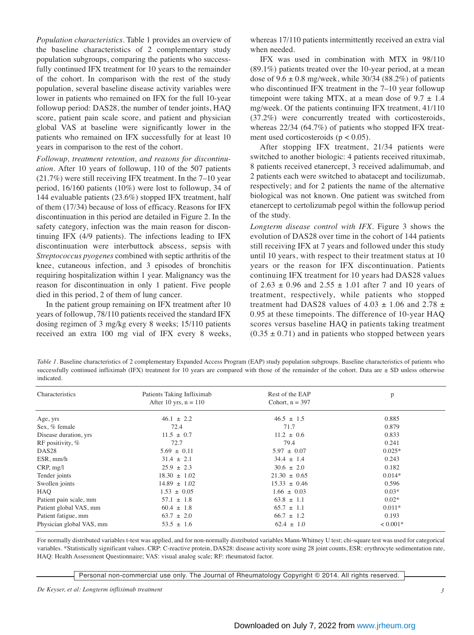*Population characteristics.* Table 1 provides an overview of the baseline characteristics of 2 complementary study population subgroups, comparing the patients who successfully continued IFX treatment for 10 years to the remainder of the cohort. In comparison with the rest of the study population, several baseline disease activity variables were lower in patients who remained on IFX for the full 10-year followup period: DAS28, the number of tender joints, HAQ score, patient pain scale score, and patient and physician global VAS at baseline were significantly lower in the patients who remained on IFX successfully for at least 10 years in comparison to the rest of the cohort.

*Followup, treatment retention, and reasons for discontinuation.* After 10 years of followup, 110 of the 507 patients (21.7%) were still receiving IFX treatment. In the 7–10 year period, 16/160 patients (10%) were lost to followup, 34 of 144 evaluable patients (23.6%) stopped IFX treatment, half of them (17/34) because of loss of efficacy. Reasons for IFX discontinuation in this period are detailed in Figure 2. In the safety category, infection was the main reason for discontinuing IFX (4/9 patients). The infections leading to IFX discontinuation were interbuttock abscess, sepsis with *Streptococcus pyogenes* combined with septic arthritis of the knee, cutaneous infection, and 3 episodes of bronchitis requiring hospitalization within 1 year. Malignancy was the reason for discontinuation in only 1 patient. Five people died in this period, 2 of them of lung cancer.

In the patient group remaining on IFX treatment after 10 years of followup, 78/110 patients received the standard IFX dosing regimen of 3 mg/kg every 8 weeks; 15/110 patients received an extra 100 mg vial of IFX every 8 weeks, whereas 17/110 patients intermittently received an extra vial when needed.

IFX was used in combination with MTX in 98/110 (89.1%) patients treated over the 10-year period, at a mean dose of  $9.6 \pm 0.8$  mg/week, while 30/34 (88.2%) of patients who discontinued IFX treatment in the 7–10 year followup timepoint were taking MTX, at a mean dose of  $9.7 \pm 1.4$ mg/week. Of the patients continuing IFX treatment, 41/110 (37.2%) were concurrently treated with corticosteroids, whereas  $22/34$  (64.7%) of patients who stopped IFX treatment used corticosteroids ( $p < 0.05$ ).

After stopping IFX treatment, 21/34 patients were switched to another biologic: 4 patients received rituximab, 8 patients received etanercept, 3 received adalimumab, and 2 patients each were switched to abatacept and tocilizumab, respectively; and for 2 patients the name of the alternative biological was not known. One patient was switched from etanercept to certolizumab pegol within the followup period of the study.

*Longterm disease control with IFX.* Figure 3 shows the evolution of DAS28 over time in the cohort of 144 patients still receiving IFX at 7 years and followed under this study until 10 years, with respect to their treatment status at 10 years or the reason for IFX discontinuation. Patients continuing IFX treatment for 10 years had DAS28 values of  $2.63 \pm 0.96$  and  $2.55 \pm 1.01$  after 7 and 10 years of treatment, respectively, while patients who stopped treatment had DAS28 values of 4.03  $\pm$  1.06 and 2.78  $\pm$ 0.95 at these timepoints. The difference of 10-year HAQ scores versus baseline HAQ in patients taking treatment  $(0.35 \pm 0.71)$  and in patients who stopped between years

*Table 1*. Baseline characteristics of 2 complementary Expanded Access Program (EAP) study population subgroups. Baseline characteristics of patients who successfully continued infliximab (IFX) treatment for 10 years are compared with those of the remainder of the cohort. Data are  $\pm$  SD unless otherwise indicated.

| Characteristics          | Patients Taking Infliximab | Rest of the EAP   | p          |
|--------------------------|----------------------------|-------------------|------------|
|                          | After 10 yrs, $n = 110$    | Cohort, $n = 397$ |            |
| Age, yrs                 | $46.1 \pm 2.2$             | $46.5 \pm 1.5$    | 0.885      |
| Sex, % female            | 72.4                       | 71.7              | 0.879      |
| Disease duration, yrs    | $11.5 \pm 0.7$             | $11.2 \pm 0.6$    | 0.833      |
| RF positivity, $%$       | 72.7                       | 79.4              | 0.241      |
| DAS <sub>28</sub>        | $5.69 \pm 0.11$            | $5.97 \pm 0.07$   | $0.025*$   |
| ESR, mm/h                | $31.4 \pm 2.1$             | $34.4 \pm 1.4$    | 0.243      |
| CRP, mg/l                | $25.9 \pm 2.3$             | $30.6 \pm 2.0$    | 0.182      |
| Tender joints            | $18.30 \pm 1.02$           | $21.30 \pm 0.65$  | $0.014*$   |
| Swollen joints           | $14.89 \pm 1.02$           | $15.33 \pm 0.46$  | 0.596      |
| HAO                      | $1.53 \pm 0.05$            | $1.66 \pm 0.03$   | $0.03*$    |
| Patient pain scale, mm   | $57.1 \pm 1.8$             | $63.8 \pm 1.1$    | $0.02*$    |
| Patient global VAS, mm   | $60.4 \pm 1.8$             | $65.7 \pm 1.1$    | $0.011*$   |
| Patient fatigue, mm      | $63.7 \pm 2.0$             | $66.7 \pm 1.2$    | 0.193      |
| Physician global VAS, mm | $53.5 \pm 1.6$             | $62.4 \pm 1.0$    | $< 0.001*$ |

For normally distributed variables t-test was applied, and for non-normally distributed variables Mann-Whitney U test; chi-square test was used for categorical variables. \*Statistically significant values. CRP: C-reactive protein, DAS28: disease activity score using 28 joint counts, ESR: erythrocyte sedimentation rate, HAQ: Health Assessment Questionnaire; VAS: visual analog scale; RF: rheumatoid factor.

Personal non-commercial use only. The Journal of Rheumatology Copyright © 2014. All rights reserved.

*De Keyser, et al: Longterm infliximab treatment 3*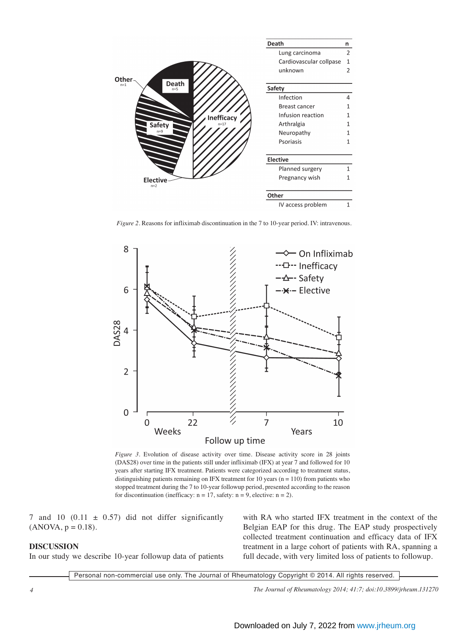

*Figure 2.* Reasons for infliximab discontinuation in the 7 to 10-year period. IV: intravenous.



*Figure 3.* Evolution of disease activity over time. Disease activity score in 28 joints (DAS28) over time in the patients still under infliximab (IFX) at year 7 and followed for 10 years after starting IFX treatment. Patients were categorized according to treatment status, distinguishing patients remaining on IFX treatment for 10 years ( $n = 110$ ) from patients who stopped treatment during the 7 to 10-year followup period, presented according to the reason for discontinuation (inefficacy:  $n = 17$ , safety:  $n = 9$ , elective:  $n = 2$ ).

7 and 10  $(0.11 \pm 0.57)$  did not differ significantly  $(ANOVA, p = 0.18).$ 

# **DISCUSSION**

In our study we describe 10-year followup data of patients

with RA who started IFX treatment in the context of the Belgian EAP for this drug. The EAP study prospectively collected treatment continuation and efficacy data of IFX treatment in a large cohort of patients with RA, spanning a full decade, with very limited loss of patients to followup.

Personal non-commercial use only. The Journal of Rheumatology Copyright © 2014. All rights reserved.

*4 The Journal of Rheumatology 2014; 41:7; doi:10.3899/jrheum.131270*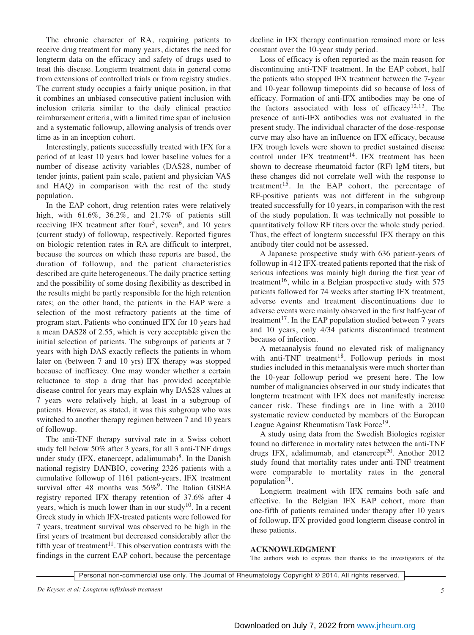The chronic character of RA, requiring patients to receive drug treatment for many years, dictates the need for longterm data on the efficacy and safety of drugs used to treat this disease. Longterm treatment data in general come from extensions of controlled trials or from registry studies. The current study occupies a fairly unique position, in that it combines an unbiased consecutive patient inclusion with inclusion criteria similar to the daily clinical practice reimbursement criteria, with a limited time span of inclusion and a systematic followup, allowing analysis of trends over time as in an inception cohort.

Interestingly, patients successfully treated with IFX for a period of at least 10 years had lower baseline values for a number of disease activity variables (DAS28, number of tender joints, patient pain scale, patient and physician VAS and HAQ) in comparison with the rest of the study population.

In the EAP cohort, drug retention rates were relatively high, with 61.6%, 36.2%, and 21.7% of patients still receiving IFX treatment after four<sup>5</sup>, seven<sup>6</sup>, and 10 years (current study) of followup, respectively. Reported figures on biologic retention rates in RA are difficult to interpret, because the sources on which these reports are based, the duration of followup, and the patient characteristics described are quite heterogeneous. The daily practice setting and the possibility of some dosing flexibility as described in the results might be partly responsible for the high retention rates; on the other hand, the patients in the EAP were a selection of the most refractory patients at the time of program start. Patients who continued IFX for 10 years had a mean DAS28 of 2.55, which is very acceptable given the initial selection of patients. The subgroups of patients at 7 years with high DAS exactly reflects the patients in whom later on (between 7 and 10 yrs) IFX therapy was stopped because of inefficacy. One may wonder whether a certain reluctance to stop a drug that has provided acceptable disease control for years may explain why DAS28 values at 7 years were relatively high, at least in a subgroup of patients. However, as stated, it was this subgroup who was switched to another therapy regimen between 7 and 10 years of followup.

The anti-TNF therapy survival rate in a Swiss cohort study fell below 50% after 3 years, for all 3 anti-TNF drugs under study (IFX, etanercept, adalimumab)<sup>8</sup>. In the Danish national registry DANBIO, covering 2326 patients with a cumulative followup of 1161 patient-years, IFX treatment survival after 48 months was  $56\%$ <sup>9</sup>. The Italian GISEA registry reported IFX therapy retention of 37.6% after 4 years, which is much lower than in our study<sup>10</sup>. In a recent Greek study in which IFX-treated patients were followed for 7 years, treatment survival was observed to be high in the first years of treatment but decreased considerably after the fifth year of treatment<sup>11</sup>. This observation contrasts with the findings in the current EAP cohort, because the percentage decline in IFX therapy continuation remained more or less constant over the 10-year study period.

Loss of efficacy is often reported as the main reason for discontinuing anti-TNF treatment. In the EAP cohort, half the patients who stopped IFX treatment between the 7-year and 10-year followup timepoints did so because of loss of efficacy. Formation of anti-IFX antibodies may be one of the factors associated with loss of efficacy<sup>12,13</sup>. The presence of anti-IFX antibodies was not evaluated in the present study. The individual character of the dose-response curve may also have an influence on IFX efficacy, because IFX trough levels were shown to predict sustained disease control under IFX treatment<sup>14</sup>. IFX treatment has been shown to decrease rheumatoid factor (RF) IgM titers, but these changes did not correlate well with the response to treatment<sup>15</sup>. In the EAP cohort, the percentage of RF-positive patients was not different in the subgroup treated successfully for 10 years, in comparison with the rest of the study population. It was technically not possible to quantitatively follow RF titers over the whole study period. Thus, the effect of longterm successful IFX therapy on this antibody titer could not be assessed.

A Japanese prospective study with 636 patient-years of followup in 412 IFX-treated patients reported that the risk of serious infections was mainly high during the first year of treatment<sup>16</sup>, while in a Belgian prospective study with  $575$ patients followed for 74 weeks after starting IFX treatment, adverse events and treatment discontinuations due to adverse events were mainly observed in the first half-year of treatment<sup>17</sup>. In the EAP population studied between  $7$  years and 10 years, only 4/34 patients discontinued treatment because of infection.

A metaanalysis found no elevated risk of malignancy with anti-TNF treatment<sup>18</sup>. Followup periods in most studies included in this metaanalysis were much shorter than the 10-year followup period we present here. The low number of malignancies observed in our study indicates that longterm treatment with IFX does not manifestly increase cancer risk. These findings are in line with a 2010 systematic review conducted by members of the European League Against Rheumatism Task Force<sup>19</sup>.

A study using data from the Swedish Biologics register found no difference in mortality rates between the anti-TNF drugs IFX, adalimumab, and etanercept<sup>20</sup>. Another 2012 study found that mortality rates under anti-TNF treatment were comparable to mortality rates in the general population $2<sup>1</sup>$ .

Longterm treatment with IFX remains both safe and effective. In the Belgian IFX EAP cohort, more than one-fifth of patients remained under therapy after 10 years of followup. IFX provided good longterm disease control in these patients.

# **ACKNOWLEDGMENT**

The authors wish to express their thanks to the investigators of the